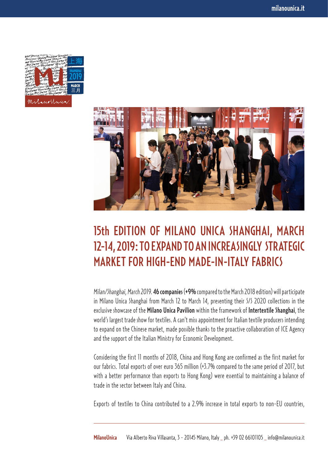



## 15th EDITION OF MILANO UNICA SHANGHAI, MARCH 12-14, 2019: TO EXPAND TO AN INCREASINGLY STRATEGIC MARKET FOR HIGH-END MADE-IN-ITALY FABRICS

*Milan/Shanghai, March 2019.*46 companies (+9% compared to the March 2018 edition) will participate in Milano Unica Shanghai from March 12 to March 14, presenting their S/S 2020 collections in the exclusive showcase of the Milano Unica Pavilion within the framework of Intertextile Shanghai, the world's largest trade show for textiles. A can't miss appointment for Italian textile producers intending to expand on the Chinese market, made possible thanks to the proactive collaboration of ICE Agency and the support of the Italian Ministry for Economic Development.

Considering the first 11 months of 2018, China and Hong Kong are confirmed as the first market for our fabrics. Total exports of over euro 365 million (+3.7% compared to the same period of 2017, but with a better performance than exports to Hong Kong) were essential to maintaining a balance of trade in the sector between Italy and China.

Exports of textiles to China contributed to a 2.9% increase in total exports to non-EU countries,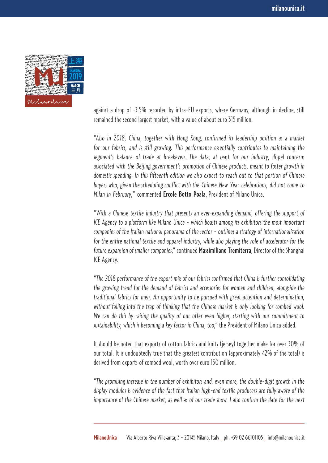

against a drop of -3.5% recorded by intra-EU exports, where Germany, although in decline, still remained the second largest market, with a value of about euro 315 million.

"*Also in 2018, China, together with Hong Kong, confirmed its leadership position as a market for our fabrics, and is still growing. This performance essentially contributes to maintaining the segment's balance of trade at breakeven. The data, at least for our industry, dispel concerns associated with the Beijing government's promotion of Chinese products, meant to foster growth in domestic spending. In this fifteenth edition we also expect to reach out to that portion of Chinese buyers who, given the scheduling conflict with the Chinese New Year celebrations, did not come to Milan in February,*" commented Ercole Botto Poala, President of Milano Unica.

"*With a Chinese textile industry that presents an ever-expanding demand, offering the support of ICE Agency to a platform like Milano Unica - which boasts among its exhibitors the most important companies of the Italian national panorama of the sector - outlines a strategy of internationalization for the entire national textile and apparel industry, while also playing the role of accelerator for the future expansion of smaller companies,*" continued Massimiliano Tremiterra, Director of the Shanghai ICE Agency.

"*The 2018 performance of the export mix of our fabrics confirmed that China is further consolidating the growing trend for the demand of fabrics and accessories for women and children, alongside the traditional fabrics for men. An opportunity to be pursued with great attention and determination, without falling into the trap of thinking that the Chinese market is only looking for combed wool. We can do this by raising the quality of our offer even higher, starting with our commitment to sustainability, which is becoming a key factor in China, too*," the President of Milano Unica added.

It should be noted that exports of cotton fabrics and knits (jersey) together make for over 30% of our total. It is undoubtedly true that the greatest contribution (approximately 42% of the total) is derived from exports of combed wool, worth over euro 150 million.

"*The promising increase in the number of exhibitors and, even more, the double-digit growth in the display modules is evidence of the fact that Italian high-end textile producers are fully aware of the importance of the Chinese market, as well as of our trade show. I also confirm the date for the next*